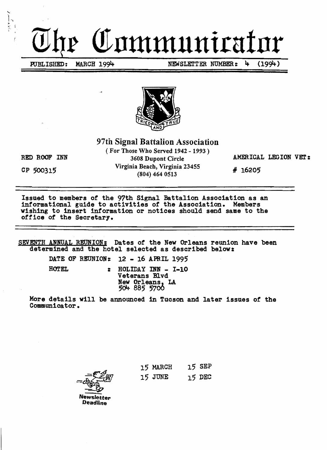# Communicul

PUBLISHED: MARCH 1994 NEWSLETTER NUMBER: 4 (1994)



97th Signal Battalion Association

(For Those Who Served 1942 - 1993) RED ROOF INN 3608 Dupont Circle AMERICAL LEGION VET: CP 500315 Virginia Beach, Virginia 23455 # 16205

Issued to members of the 97th Signal Battalion Association as an informational guide to activities of the Association. Members wishing to insert information or notices should send same to the office of the Secretary.

SEVENTH ANNUAL REUNION: Dates of the New Orleans reunion have been determined and the hotel selected as described below:

DATE OF REUNION:  $12 - 16$  APRIL 1995

HOTEL : HOLIDAY INN - I-10 Veterans Blvd New Orleans, LA<br>504 885 5700

More details will be announced in Tucson and later issues of the Communieator.

**Newsletter Deadline** 

15 MARCH 15 SEP  $15$  JUNE  $15$  DEC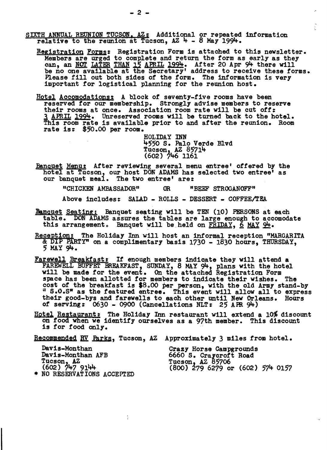- SIXTH ANNUAL REUNION TUCSON. AZ: Additional or repeated information relative to the reunion at Tucson,  $AZ + -8$  May 1994.
	- Registration Forms: Registration Form is attached to this newsletter. Members are urged to complete and return the torm as early as they Members are urged to complete and return the form as early as they can, an NOT LATER THAN 12 APRIL 1994. After 20 Apr 94 there will be no one available at the Secretary' address to receive these forms. Please fill out both sides of the form. The information is very important for logistical planning for the reunion host.
	- Hotel Accomodations: A block of seventy-five rooms have been reserved tor our membership. Strongly advise members to reserve their rooms at once. Association room rate will be cut *ott:*  3 APRIL 1994. Unreserved rooms will be turned back to the hotel. This room rate is available prior to and after the reunion. Room rate is; \$50.00 per room.

HOLIDAY INN 4550 S. Palo Verde Blvd Tucson, AZ 85714<br>(602) 746 1161

Banquet Menu: After reviewing several menu entree' offered by the hotel at Tucson, our host DON ADAMS has selected two entree' as our banquet meal. The two entree' are:

"CHICKEN AMBASSADOR" OR "BEEF STROGANOFF"

Above includes: SALAD - ROLLS - DESSERT - COFFEE/TEA

- Banquet Seating: Banquet seating will be TEN (10) PERSONS at each table. DON ADAMS assures the tables are large enough to accomodate this arrangement. Banquet will be held on FRIDAY,  $6$  MAY  $94$ .
- Reception: The Holiday Inn will host an informal reception "MARGARITA & DIP PARTY" on a complimentary basis  $1730 - 1830$  hours, THURSDAY,  $5$  MAY 94.
- Farewell Breakfast: If enough members indicate they will attend a FAREWELL BUFFET BREAKFAST, SUNDAY, 8 MAY 94, plans with the hotel will be made for the event. On the attached Registration Form space has been allotted *tor* members to indicate their wishes. The cost of the breakfast is \$8.00 per person, with the old Army stand-by " S.O.S" as the featured entree. This event will allow all to express<br>their good-bys and farewells to each other until New Orleans. Hours their good-bys and farewells to each other until New Orleans. Hours of serving:  $0630 - 0900$  (Cancellations NLT:  $25$  APR 94)

Hotel Restaurant: The Holiday Inn restaurant will extend a 10% discount on food when we identify ourselves as a 97th member. This discount is tor tood only.

Becommended BY. Parks, Tucson, AZ Approximately 3 miles trom hotel.

| Davis-Monthan                           | Crazy Horse Campgrounds              |
|-----------------------------------------|--------------------------------------|
| Davis-Monthan AFB                       | 6660 S. Craycroft Road               |
| Tucson, $\frac{1}{2}$<br>(602) 747 9144 | Tucson, AZ 85706                     |
|                                         | $(800)$ 279 6279 or $(602)$ 574 0157 |
| * NO RESERVATIONS ACCEPTED              |                                      |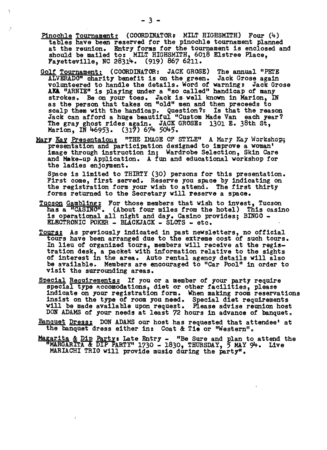- Pinochle Tournament: (COORDINATOR: MILT HIGHSMITH) Four  $(4)$ tables have been reserved for the pinochle tournament planned at the reunion. Entry forms for the tournament is enclosed and should be mailed to: MILT HIGHSMITH, 6018 Elstree Place, Fayetteville, NC 28314. (919) 867 6211.
- Golf Tournament: (COORDINATOR: JACK GROSE) The annual "PETE ALVERADO" charity benefit is on the green. Jack Grose again volanteered to handle the details. Word of warning: Jack Grose AKA "ARNIE" is playing under a "so called" handicap of many strokes. Be on your toes. Jack is well known in Marion, IN as the person that takes on "old" men and then preceeds to scalp them with the handicap. Question?: Is that the reason Jack can afford a huge beautiful "Custom Made Van each year? The gray ghost rides again. JACK GROSE: 1301 E. 38th St, Marion, IN 46953. (317) 674 5045.
- Mary Kay Presentaion: "THE IMAGE OF STYLE" A Mary Kay Workshop; presentation and participation designed to improve a woman' image through instruction in; Wardrobe Selection, Skin Care and Make-up Application. A fun and educational workshop for the ladies enjoyment.

Space is limited to THIRTY (30) persons for this presentation. First come, first served. Reserve you space by indicating on the registration form your wish to attend. The first thirty forms returned to the Secretary will reserve a space.

- Tucson Gambling: For those members that wish to invest, Tucson has a "CASINO". (About four miles from the hotel) This casino is operational all night and day\_ Casino provides; BINGO ELECTRONIC POKER - BLACKJACK - SLOTS - etc.
- Tours: As previously indicated in past newsletters, no official tours have been arranged due to the extreme cost of such tours. In lieu of organized tours, members will receive at the regis-<br>tration desk, a packet with information relative to the sights of interest in the area. Auto rental agency details will also be available. Members are encouraged to "Car Pool" in order to visit the surrounding areas.
- Special Requirements: If you or a member of your party require special type Accomodations, diet or other facilities, please indicate on your registration form. When making room reservations insist on the type of' room you need. Special diet requirements will be made available upon request. Please advise reunion host DON ADAMS of your needs at least 72 hours in advance of banquet.
- Eanquet Dress: DON ADAMS our host has requested that attendee' at the banquet dress either in: Coat & Tie or "Western".
- Magarita & Dip Party: Late Entry "Be Sure and plan to attend the MARGARITA & DIP PARTY" 1730 - 1830, THURSDAY, 5 MAY 94. Live MARIACHI TRIO will provide music during the party".

 $\ddot{\phi}$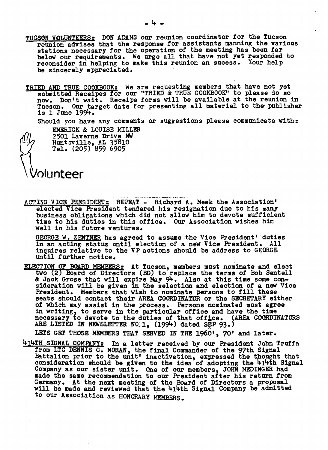- TUCSON VOLUNTEERS: DON ADAMS our reunion coordinator for the Tucson reunion advises that the response for assistants manning the various stations necessary for the operation of the meeting has been tar below our requirements. We urge all that have not yet responded to reconsider in helping to make this reunion an sucess. Your help be sincerely appreciated.
- TRIED AND TRUE COOKBOOK: We are requesting members that have not yet submitted Receipes for our "TRIED & TRUE COOKBOOK" to please do so now. Don't wait. Receipe forms will be available at the reunion in Tucson. Our target date for presenting all materiel to the publisher<br>is 1 June 1994.

Should you have any comments or suggestions please communicate with:

EMERICK & LOUISE MILLER 2501 Laverne Drive NW ·Huntsville, AL 35810  $Tel. (205) 859 6905$ 

# plunteer

ACTING VICE PRESIDENT: REPEAT - Richard A. Meek the Association' elected Vice President tendered his resignation due to his many business obligations which did not allow him to devote sufficient time to his duties in this otfioe. Our Association wishes him well in his future ventures.

GEORGE W. ZENTNER has agreed to assume the Vice President' duties<br>in an acting status until election of a new Vice President. All in an acting status until election of a new Vice President. inquires relative to the VP actions should be address to GEORGE until further notice.

ELECTION OF BOARD MEMBERS: At Tucson, members must nominate and elect two (2) Board of Directors (ED) to replace the terms of Bob Sentell &Jaok Grose that will expire May 9lf.. Also at this time some consideration will be given in the selection and election of a new Vice President. Members that wish to nominate persons to till these seats should contact their AREA COORDINAfDR or the SECRETARY either of which may assist in the process. Persons nominated must agree in writing, to serve in the particular office and have the time necessary to devote to the duties of that office. (AREA COORDINATORS ARE LISTED IN NEWSLETTER NO $1, (1994)$  dated SEP 93.)

LETS GET THOSE MEMBERS THAT SERVED IN THE 1960', 70' and later.

 $H_1H_2H_3GNAL$  COMPANY: In a letter received by our President John Truffa from LTC DENNIS C. MORAN, the tinal Commander of the 97th Signal Battalion prior to the unit' inactivation, expressed the thought that consideration should be given to the idea of adopting the <sup>1</sup>+1<sup>1</sup>+th Signal Company as our sister unit. One of our members, JOHN MEDINGER had made the same recommendation to our President alter his return from Germany. At the next meeting of the Board of Directors a proposal will be made and reviewed that the 414th Signal Company be admitted to our Association as HONORARY MEMBERS.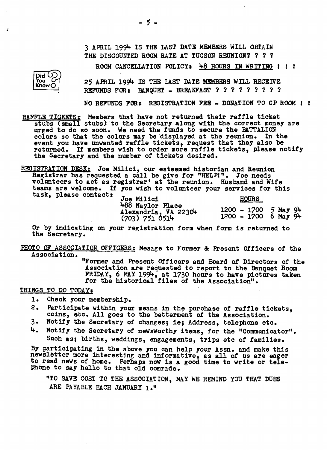3 APRIL 1994 IS THE LAST DATE MEMBERS WILL OBTAIN THE DISCOUNTED ROOM RATE AT TUCSON REUNION? ? ? ?

ROOM CANCELLATION POLICY: 48 HOURS IN WRITING : : :

25 APRIL 1994 IS THE LAST DATE MEMBERS WILL RECEIVE REFUNDS FOR: BANQUET - BREAKFAST ? ? ? ? ? ? ? ? ?

NO REFUNDS FOR: REGISTRATION FEE - DONATION TO CP ROOM I I

RAFFLE TICKETS: Members that have not returned their raffle ticket stubs (small stubs) to the Secretary along with the correct money are urged to do so soon. We need the funds to secure the BATTALION colors so that the colors may be displayed at the reunion. In the event you have unwanted raffle tickets, request that they also be returned. If members wish to order more raffle tickets, please notify the Secretary and the number of tickets desired.

REGISTRATION DESK: Joe Milici, our esteemed historian and Reunion Registrar has requested a call be give for "HELPl". Joe needs volunteers to act as registrar' at the reunion. Husband and Wife teams are welcome. It you wish to volunteer your services for this task, please contact:

| Joe Milici                                                 | <b>HOURS</b>                                     |  |
|------------------------------------------------------------|--------------------------------------------------|--|
| 488 Naylor Place<br>Alexandria, VA 22304<br>(703) 751 0514 | $1200 - 1700$ 5 May 94<br>$1200 - 1700$ 6 May 94 |  |

Or by indicating on your registration form when form is returned to the Secretary.

PHOTO OF ASSOCIATION OFFICERS; Mesage to Former &: Present Officers *ot* the Association.

"Former and Present Officers and Board of Directors of the Association are requested to report to the Banquet Room FRIDAY, 6 MAY 1994, at 1730 hours to have pictures taken for the historical files of the Association".

THINGS TO DO TODAY:

1. Check your membership.

- 2. Participate within your means in the purchase of raffle tickets, coins, etc. All goes to the betterment of the Association.<br>3. Notify the Secretary of changes: ie: Address, telephone etc.
- Notify the Secretary of changes; ie; Address, telephone etc.
- 4. Notify the Secretary of newsworthy items, for the "Communicator". Such as; births, weddings, engagements, trips etc of families.

By participating in the above you can help your Assn. and make this newslet'ter more interesting and informative, as all of us are eager to read news *ot* home. Perhaps now is a good time to write or telepbone to say hello to that old comrade.

"TO SAVE COST TO THE ASSOCIATION, MAY WE REMIND YOU THAT DUES ARE PAYABLE EACH JANUARY 1."

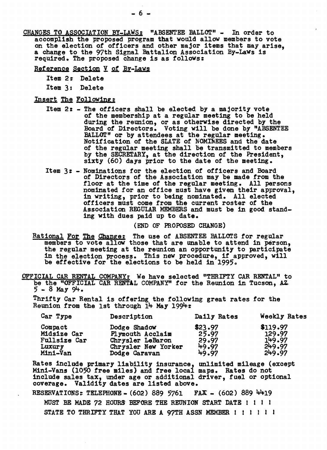- CHANGES TO ASSOCIATION BY-LAWS: "ABSENTEE BALLOT" In order to accomplish the proposed program that would allow members to vote on the election of ofticers and other major items that may arise, a change to the 97th Signal Battalion Association By-LaWS is required. The proposed change is as follOWS:
	- Reference Section V of By-Laws
		- Item 2: Delete
		- Item 3: Delete
	- Insert The Following;
		- Item 2: The officers shall be elected by a majority vote of the membership at a regular meeting to be held during the reunion, or as otherwise directed by the Board *ot* Directors. Voting will be done by "ABSENTEE BALLOT" or by attendees at the regular meeting. Notification of the SLATE *ot* NOMINEES and the date of the regular meeting shall be transmitted to members by the SECRErARY, at the direction of the President, sixty (60) days prior to the date of the meeting.
		- Item 3: Nominations for the election of officers and Board of Directors of the Association may be made from the floor at the time of the regular meeting. All persons nominated for an otfice must have given their approval, in writing, prior to being nominated. All elected officers must come from the current roster *ot* the Association REGULAR MEMBERS and must be in good standing with dues paid up to date.

#### (END OF PROPOSED CHANGE)

- Rational For The Change: The use of ABSENTEE BALLOTS for regular members to vote allow those that are unable to attend in person, the regular meeting at the reunion an opportunity to participate in the election process. This new procedure, if approved, will in the election process. This new procedure, if approved, will be effective for the elections to be held in 1995.
- OFFICIAL CAR RENTAL COMPANY: We have selected "THRIFTY CAR RENTAL" to be the "OFFICIAL CAR RENTAL COMPANY" for the Reunion in Tucson, AZ.  $5 - 8$  May  $94.$

Thrifty Car Rental is offering the following great rates for the Reunion from the 1st through  $14$  May 1994:

| Car Type                                                     | Description                                                                                  | Daily Rates                                 | Weekly Rates                                     |
|--------------------------------------------------------------|----------------------------------------------------------------------------------------------|---------------------------------------------|--------------------------------------------------|
| Compact<br>Midsize Car<br>Fullsize Car<br>Luxury<br>Mini-Van | Dodge Shadow<br>Plymouth Acclaim<br>Chrysler LeBaron<br>Chrysler New Yorker<br>Dodge Caravan | \$23.97<br>25.97<br>29.97<br>49.97<br>49.97 | \$119.97<br>129.97<br>149.97<br>249.97<br>249.97 |

Rates include primary liability insurance, unlimited mileage (except Mini-Vans (1050 free miles) and free local maps. Rates do not include sales tax, under age or additional driver, tuel or optional coverage. Validity dates are listed above.

RESERVATIONS: TELEPHONE - (602) 889 5761 FAX - (602) 889 4419 MUST BE MADE 72 HOURS BEFORE THE REUNION START DATE! I I I

STATE TO THRIFTY THAT YOU ARE A 97TH ASSN MEMBER ! ! ! ! ! ! !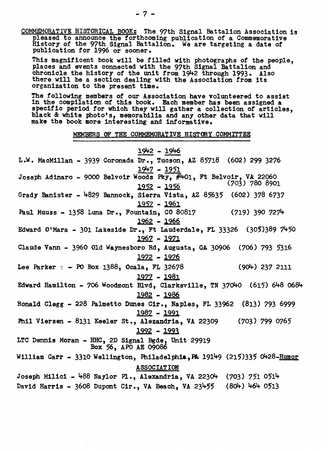COMMEMORATIVE HISTORICAL BOOK: The 97th Signal Battalion Association is pleased to announce the forthcoming publication of a Commemorative History of the 97th Signal Battalion. We are targeting a date *ot*  publication for 1996 or sooner.

This magnificent book will be filled with photographs *ot* the people, places and events connected with the 97th Signal Battalion and chronicle the history of the unit from 1942 through 1993. Also there will be a section dealing with the Association from its organization to the present time.

The following members of our Assooiation have volunteered to assist in the compilation of this book. Eaoh member has been assigned <sup>a</sup> specific period for which they will gather a collection of articles, black & white photo's, memorabilia and any other data that will make the book more interesting and informative.

MEMBERS OF THE COMMEMORATIVE HISTORY COMMITTEE

# 1942 - 1946

| $1947 - 1951$<br>Joseph Adinaro - 9000 Belvoir Woods Pky, #401, Ft Belvoir, VA 22060<br>$(703)$ 780 8901<br><u> 1952 – 1956</u><br>Grady Banister - 4829 Bannock, Sierra Vista, AZ 85635 (602) 378 6737<br><u> 1957 - 1961</u><br>Paul Muuss - 1358 Luna Dr., Fountain, CO 80817 (719) 390 7274<br>1962 - 1966<br>Edward O'Mara - 301 Lakeside Dr., Ft Lauderdale, FL 33326 $(305)389 7450$<br>1967 - 1971<br>Claude Vann - 3960 Old Waynesboro Rd, Augusta, GA 30906 (706) 793 5316<br><u> 1972 - 1976</u><br>Lee Parker $\epsilon =$ PO Box 1388, Ocala, FL 32678<br>$(904)$ 237 2111<br><u> 1977 - 1981</u><br>Edward Hamilton - 706 Woodmont Blvd, Clarksville, TN 37040 (615) 648 0684<br>1982 - 1986<br>Ronald Clegg - 228 Palmetto Dunes Cir., Naples, FL 33962 (813) 793 6999 |
|---------------------------------------------------------------------------------------------------------------------------------------------------------------------------------------------------------------------------------------------------------------------------------------------------------------------------------------------------------------------------------------------------------------------------------------------------------------------------------------------------------------------------------------------------------------------------------------------------------------------------------------------------------------------------------------------------------------------------------------------------------------------------------------|
|                                                                                                                                                                                                                                                                                                                                                                                                                                                                                                                                                                                                                                                                                                                                                                                       |
|                                                                                                                                                                                                                                                                                                                                                                                                                                                                                                                                                                                                                                                                                                                                                                                       |
|                                                                                                                                                                                                                                                                                                                                                                                                                                                                                                                                                                                                                                                                                                                                                                                       |
|                                                                                                                                                                                                                                                                                                                                                                                                                                                                                                                                                                                                                                                                                                                                                                                       |
|                                                                                                                                                                                                                                                                                                                                                                                                                                                                                                                                                                                                                                                                                                                                                                                       |
|                                                                                                                                                                                                                                                                                                                                                                                                                                                                                                                                                                                                                                                                                                                                                                                       |
|                                                                                                                                                                                                                                                                                                                                                                                                                                                                                                                                                                                                                                                                                                                                                                                       |
|                                                                                                                                                                                                                                                                                                                                                                                                                                                                                                                                                                                                                                                                                                                                                                                       |
|                                                                                                                                                                                                                                                                                                                                                                                                                                                                                                                                                                                                                                                                                                                                                                                       |
|                                                                                                                                                                                                                                                                                                                                                                                                                                                                                                                                                                                                                                                                                                                                                                                       |
|                                                                                                                                                                                                                                                                                                                                                                                                                                                                                                                                                                                                                                                                                                                                                                                       |
|                                                                                                                                                                                                                                                                                                                                                                                                                                                                                                                                                                                                                                                                                                                                                                                       |
|                                                                                                                                                                                                                                                                                                                                                                                                                                                                                                                                                                                                                                                                                                                                                                                       |
|                                                                                                                                                                                                                                                                                                                                                                                                                                                                                                                                                                                                                                                                                                                                                                                       |
|                                                                                                                                                                                                                                                                                                                                                                                                                                                                                                                                                                                                                                                                                                                                                                                       |
|                                                                                                                                                                                                                                                                                                                                                                                                                                                                                                                                                                                                                                                                                                                                                                                       |
| <u> 1987 - 1991</u>                                                                                                                                                                                                                                                                                                                                                                                                                                                                                                                                                                                                                                                                                                                                                                   |
| Phil Viersen - 8131 Keeler St., Alezandria, VA 22309 (703) 799 0765                                                                                                                                                                                                                                                                                                                                                                                                                                                                                                                                                                                                                                                                                                                   |
| <u> 1992 - 1993</u>                                                                                                                                                                                                                                                                                                                                                                                                                                                                                                                                                                                                                                                                                                                                                                   |
| LTC Dennis Moran - HHC, 2D Signal Bgde, Unit 29919<br>Box 56, APO AE 09086                                                                                                                                                                                                                                                                                                                                                                                                                                                                                                                                                                                                                                                                                                            |
| William Carr - 3310 Wellington, Philadelphia, PA 19149 (215)335 0428-Humor                                                                                                                                                                                                                                                                                                                                                                                                                                                                                                                                                                                                                                                                                                            |
| <b>ASSOCIATION</b>                                                                                                                                                                                                                                                                                                                                                                                                                                                                                                                                                                                                                                                                                                                                                                    |
| Joseph Milici - 488 Naylor Pl., Alexandria, VA 22304 (703) 751 0514                                                                                                                                                                                                                                                                                                                                                                                                                                                                                                                                                                                                                                                                                                                   |
| David Harris - 3608 Dupont Cir., VA Beach, VA 23455 (804) 464 0513                                                                                                                                                                                                                                                                                                                                                                                                                                                                                                                                                                                                                                                                                                                    |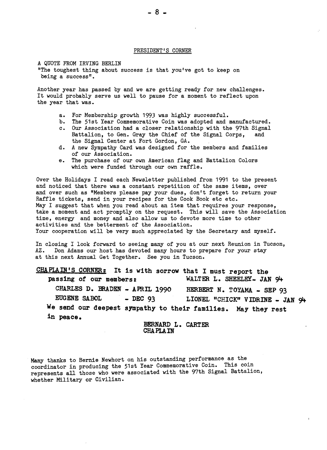#### PRESIDENT'S CORNER

A QUOTE FROM IRVING BERLIN "The toughest thing about success *is* that you've got to keep on being a success".

Another year has passed by and we are getting ready for new challenges. It would probably serve us well to pause for a moment to reflect upon the year that was.

- a. For Membership growth 1993 was highly successful.
- b. The 51st Year Commemorative Coin was adopted and manufactured.
- c. Our Association had a closer relationship with the 97th Signal Battalion, to Gen. Gray the Chief of the Signal Corps, and the Signal Center at Fort Gordon, GA.
- d. A new Sympathy Card was designed for the members and families of our Association.
- e. The purchase of our own American flag and Battalion Colors which were funded through our own raffle.

Over the Holidays I read each Newsletter published from 1991 to the present and noticed that there was a constant repetition of the same items, over and over such as "Members please pay your dues, don't forget to return your Raffle tickets, send in your recipes for the Cook Book etc etc. May I suggest that when you read about an item that requires your response, take a moment and act promptly on the request. This will save the Association time, energy and money and also allow us to devote more time to other activities and the betterment of the Association. Your cooperation will be very much appreciated by the Secretary and myself.

In closing I look forward to seeing many of you at our next Reunion in Tucson,<br>AZ. Don Adams our host has devoted many hours to prepare for your stay Don Adams our host has devoted many hours to prepare for your stay at this next Annual Get Together. See you in Tucson.

CHAPLAIN'S CORNER: It is with sorrow that I must report the passing of our members: WALTER L. SHEELEY- JAN 94 CHARLES D. BRADEN - APRIL 1990 HERBERT N. TOYAMA - SEP 93 EUGENE SABOL - DEC 93 LIONEL "CHICK" VIDRINE - JAN 94 We send our deepest sympathy to their families. May they rest in peace.

BERNARD L. CARTER CHAPLAIN

Many thanks to Bernie Newhort on his outstanding performance as the coordinator in producing the 51st Year Commemorative Coin. This coin represents all those who were associated with the 97th Signal Battalion, whether Military or Civilian.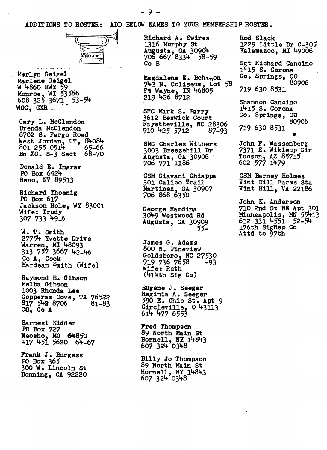ADDITIONS TO ROSTER: ADD BELOW NAMES TO YOUR MEMBERSHIP ROSTER.



Merlyn Geigel<br>
Marlene Geigel<br>
W 4860: HWY 59<br>
Monroe, WI 53566<br>
608 325 3671 53-54<br>
WOC, CXR WOC, CXR ...

Gary L. McClendon Brenda McClendon 6702 S. Fargo Road West Jordan, UT, 8408'+  $801$  255 0514<br> $801$  255 0514<br> $8$ n XO. S-3 Sect 68-70

Donald E. Ingram PO Box 692lt-Reno, NV 89513

Richard Thoenlg PO Box 617 Jackson Hole, WY 83001 Wife: Trudy 307 733 4916

W. T. Smith 27754 Yvette Drive Warren, MI 48093 313 757 3667 42-46 Co A, Cook Mardean Smith (Wife)

Raymond E. Gibson Melba Gibson 1003 Rhonda Lee copperas Cove, TX 76522<br>817 5**42** 8706 81-83 CO, Co A

Earnest Kidder PO Box 727 Neosho, MO 64850 417 451 5620 64–67

Frank J. Burgess PO Box 365 300 W. Lincoln st Bonning, CA 92220 Richard A. Swires Rod Slack 1316 Murphy St Augusta, GA 30904<br>706 667 8334 58-59<br>Co B

Magdalene E. Bohanon  $742$  N. Coliseum, Lot 58 Ft Wayne, IN 46805 219 426 8712

SFC Mark S. Parry 3612 Beswick Court **Fayetteville, NC 28306**<br>910 425 5712 87-93  $910$   $425$   $5712$ 

SMG Charles Wlthers 3003 Breezehi11 Dr Augusta, GA 30906 706 771 1186

CSM Glavani Chiappa 301 Calico Trail Martinez, GA 30907 706 868 6350

George Harding<br>3049 Westwood Rd Augusta, GA 30909 5;

James G. Adams 800 N. Pineview Goldsboro, NC 27530 919 736 7658 -93 Wife: Ruth  $(414th$  Sig Co)

Eugene J. Seeger<br>Reginia A. Seeger<br>590 E. Ohio St. Apt 9 Circleville,  $0$  43113 614 477 6553

Fred Thompson 89 North Main st Hornell, NY 14843 607 324 0348

Billy Jo Thompson 89 North Main St Hornell, NY 14843 607 324 0348

 1229 Little Dr C-305 Kalamazoo, MI 49006

Sgt Richard Cancino 1415 S. Corona Co. Springs, CO 80906 *719 630 8;31* 

Shannon Cancino 1415 S. Corona Co. Springs, CO 80906 719 630 8531 •<br>•

John F. Wassenberg<br>7371 E. Wikieup Cir Tucson, AZ 85715 *602* 57"1 1lt-79

CSM Barney Holmes Vint Hl11 Farms Sta Vint Hill, VA 22186

John K. Anderson 710 2nd St HE Apt 301 Minneapolis, MN 55413 612 331 4551 52-54<br>176th SigRep Co Attd to 97th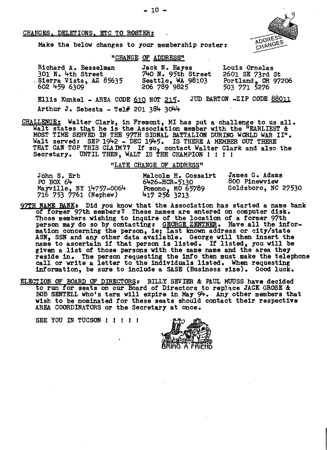#### CHANGES, DELETIONS, ETC TO ROSTER:



Make the below changes to your membership roster:

## "CHANGE OF ADDRESS"

| Richard A. Besselman   | Jack N. Hayes      | Louis Ornelas      |
|------------------------|--------------------|--------------------|
| 301 N. 4th Street      | 740 N. 95th Street | 2601 SE 73rd St    |
| Sierra Vista, AZ 85635 | Seattle, WA 98103  | Portland, OR 97206 |
| 602 459 6309           | 206 789 9825       | 503 771 5276       |

Ellis Kunkel - AREA CODE  $610$  NOT  $215$ . JUD BARTON -ZIP CODE  $88011$ Arthur J. Sebesta - Tel# 201 384 3044

CHALLENGE: Walter Clark, in Fremont, MI has put a challenge to us all. Walt states that he is the Association member with the "EARLIEST &: MOST TIME SERVED IN THE 97TH SIGNAL BATTALION DURING WORLD WAR II". Walt served:  $SEP$   $1942 - DEC$   $1945$ . IS THERE A MEMBER OUT THERE THAT CAN TOP THIS CLAIM?? If so, contact Walter Clark and also the Secretary. UNTIL THEN, WALT IS THE CHAMPION ! ! ! !

"LATE CHANGE OF ADDRESS"

| John S. Erb                                      | Malcolm H. Cossairt                   | James G. Adams      |
|--------------------------------------------------|---------------------------------------|---------------------|
| $PO$ $BOX$ $64$                                  | 6426-HCR-5130                         | 800 Pinewview       |
| Mayville, NY 14757-0064<br>716 753 7761 (Nephew) | <b>Pomono, MO 65789</b><br>4172563213 | Goldsboro, NC 27530 |

- $97TH$  NAME BANK: Did you know that the Association has started a name bank of former 97th members? These names are entered on computer disk. Those members wishing to inquire of the location of a former 97th person may do so by contacting: GEORGE ZENTNER. Have all the information concerning the person, ie; Last known address or city/state ASN, SSN and any other data available. George will then insert the Abn, bbn and any other data available. George will then insert the<br>name to ascertain if that person is listed. If listed, you will be given a list of those persons with the same name and the area they<br>reside in. The person requesting the info then must make the telephone<br>call or write a letter to the individuals listed. When requesting<br>information, be su
- ELECTION OF BOARD OF DIRECTORS: BILLY SEVIER & PAUL MUUSS have decided to run for seats on our Board of Directors to replace JACK GROSE &: BOB SENTELL who's term will expire in May 94. Any other members that wish to be nominated for these seats should contact their respective AREA COORDINATORS or the Secretary at once.

SEE YOU IN TUCSON !!!!!!

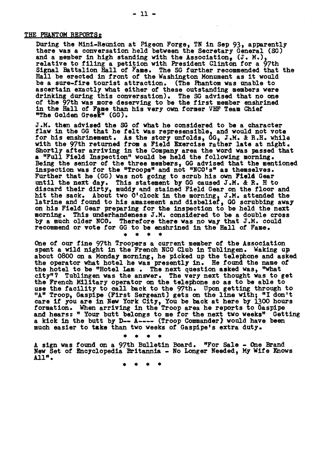### THE PHANTOM REPORTS:

Daring the Mini-Reunion at Pigeon Forge, TN in Sep 93, apparently there was a conversation held between the Secretary General (SG) and a member in high standing with the Association, (J. M.), relative to filing a petition'with President Clinton for a 97th Signal Battalion Hall of Fame. The SG further recommended that the Ball be erected in front of the Washington Monument as it would be a sure-fire toarist attraction. (The Phantom was unable to ascertain exactly what either of these outstanding members were drinking during this conversation). The SG advised that no one of the 97th was more deserving to be the first member enshrined in the Hall of Fame than his very own former VHF Team Chief "The Golden Greek" (GG).

• • • • J.M. then advised the SG of what he considered to be a character flaw in the GG that he felt was represensible, and would not vote for his enshrinement. As the story unfolds, GG, J.M. & R.H. while with the 97th returned from a Field Exercise rather late at night.<br>Shortly after arriving in the Company area the word was passed that Shortly after arriving in the Company area the word was passed that<br>a "Full Field Inspection" would be held the following morning.<br>Being the senior of the three members, GG advised that the mentioned inspection was for the "Troops" and not "NCO's" as themselves. Further that he (GG) was not going to scrub his own Field Gear until the next day. This statement by GG caused J.M. & R. H to discard their dirty, muddy and stained Field Gear on the floor and hit the sack. About two 0'clock in the morning, J.M. attended the latrine and found to his amazement and disbelief, GG scrubbing away on his Field Gear preparing ,tor the inspection to be held the next morning. This underhandeness J .M. considered to be a double cross by a much older NCO. Therefore there was no way that J.M. could recommend or vote for GG to be enshrined in the Ball of Fame.

One of our fine 97th Troopers a current member of the Association spent a wild night in the French NCO Club in Tublingen. Waking up: about 0800 on a Monday morning, he picked up the telephone and asked the operator what hotel he Was presently in. He found the name of the hotel to be "Hotel Lam . The next question asked was, "what city"? Tublingen was the answer. The very next thought was to get the French Military operator on the telephone so as to be able to use the facIlIty to call back to the 97th. Upon getting through to "A" Troop, Gaspipe (First Sergeant) gets on the line with; "I don't care if you are in New York City, You be back at here by 1300 hours formation. When arriving in the Troop area he reports to Gaspipe and hears: " Your butt belongs to me for the next two weeks" Getting and hears: " Your butt belongs to me for the next two weeks" Getting<br>a kick in the butt by D-- A---- (Troop Commander) would have been much easier to take than two weeks of Gaspipe's extra duty.

• • • •

A sign was found on a 97th Bulletin Board. "For Sale - One Brand New Set of Encyclopedia Britannia - No Longer Needed, My Wife Knows All".

• • • •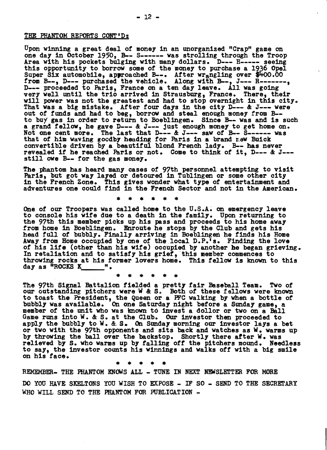### THE PHANTOM REPORTS CONT'D:

Upon winning a great deal of money in an unorganized "Crap" game on one day in October 1950, B-- S------ was strolling through the Troop<br>Area with his pockets bulging with many dollars. D--- H----- seeing Area with his pockets bulging with many dollars. D--- H----- seeing<br>this opportunity to borrow some of the money to purchase a 1936 Opel<br>Super Six automobile, approached B--. After wrangling over \$400.00 trom B--, D--- purchased the vehicle. Along with B--, J--- R-------,<br>Trom B--, D--- purchased the vehicle. Along with B--, J--- R-------,<br>D--- proceeded to Paris, France on a ten day leave. All was going very well until the trio arrived in Strausburg, France. There, their will power was not the greatest and had to stop overnight in this city.<br>That was a big mistake. After four days in the city D--- & J--- were out *ot* tunds and had to beg, borrow and steal enough money from B to buy gas in order to return to Boeblingen. Since B-- was and is such a grand fellow, he gave D--- & J--- just enough money to get home on. Not one cent more. The last that D--- & J--- saw of B-- S------ was that of him waving goodby heading for Paris in a brand new Buick convertible driven by a beautitul blond French lady. B-- has never revealed if he reached Paris or not. Come to think of it, D--- & J--still owe B-- for the gas money.

The phantom has heard many cases of 97th personnel attempting to visit Paris, but got way layed or detoured in Tublingen or some other city in the French Zone. This gives wonder what type of entertainment and adventures one could tind in the French Sector and not in the American.

\* \* \* \* \* •

••••<br>••• One of our Troopers was called home to the U.S.A. on emergency leave to console his wite due to a death in the tamily. Upon returning to the 97th this member picks up his pass and proceeds to his home away trom home in Boeblingen. Enroute he stops by the Club and gets his head full of bubbly. Finally arriving in Boeblingen he finds his Home Away from Home occupied by one of the local D.P.<sup>1</sup>s. Finding the love *ot* his lite (other than his wite) occupied by another he began grieving. In retaliation and to satisty his grief, this member commences to throwing rocks at his tormer lovers home. This te1low is known to this day as  $"ROCKS K"$ 

\* \* \* •

The 97th Signal Battalion fielded a pretty fair Baseball Team. Two of our outstanding pitchers were W & S. Both of these fellows were known The 97th Signal Battalion fielded a pretty fair Baseball Team. to toast the President, the Queen or a PFC walking by when a bottle *at*  bubbly Was available. On one Saturday night betore a Sunday game, a member of the unit who was known to invest a dollor or two on a Ball Game runs into  $W$ . & S. at the Club. Our investor then proceeded to apply the bubbly to W. & S. On Sunday morning our investor lays a bet or two with the 97th opponents and sits back and watches as W.. warms up by throwing the ball over the backstop. Shortly there atter W. was relieved by S. who warms up by falling off the pitchers mound. Needless to say, the investor counts his Winnings and walks oft with a big smile on his face.

\* • \* \* \*

REMEMBER- THE PHANTOM KNOWS ALL - TUNE IN NEXT NEWSLETTER FOR MORE

DO YOU HAVE SKELTONS YOU WISH TO EXPOSE - IF SO - SEND TO THE SECRETARY WHO WILL SEND TO THE PHANTOM FOR PUBLICATION -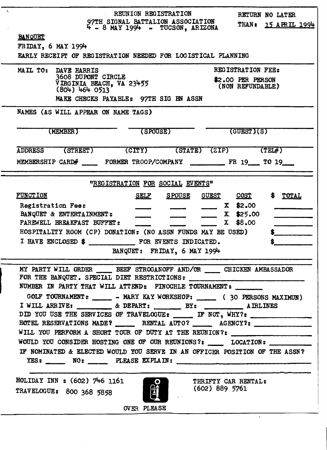| REUNION REGISTRATION<br>RETURN NO LATER                                                                                                                                               |
|---------------------------------------------------------------------------------------------------------------------------------------------------------------------------------------|
| 97TH SIGNAL BATTALION ASSOCIATION<br>4 - 8 MAY 1994 - TUCSON, ARIZONA<br>THAN: 15 APRIL 1994                                                                                          |
| <b>BANOUET</b>                                                                                                                                                                        |
| $FRIDAY$ , 6 MAY 1994                                                                                                                                                                 |
| EARLY RECEIPT OF REGISTRATION NEEDED FOR LOGISTICAL PLANNING                                                                                                                          |
| REGISTRATION FEE:<br>MAIL TO:<br>DAVE HARRIS<br>3608 DUPONT CIRCLE                                                                                                                    |
| \$2.00 PER PERSON<br>VIRGINIA BEACH, VA 23455<br>(804) 464 0513<br>(NON REFUNDABLE)                                                                                                   |
| MAKE CHECKS PAYABLE: 97TH SIG EN ASSN                                                                                                                                                 |
| NAMES (AS WILL APPEAR ON NAME TAGS)                                                                                                                                                   |
| (MEMBER)<br>(SPOUSE)<br>(GUEST)(S)                                                                                                                                                    |
| (CITY) (STATE) (ZIP)<br>ADDRESS (STREET)<br>(TEL#)                                                                                                                                    |
| MEMBERSHIP CARD# ____ FORMER TROOP/COMPANY _________ FR 19 ___ TO 19                                                                                                                  |
| "REGISTRATION FOR SOCIAL EVENTS"                                                                                                                                                      |
| <b>FUNCTION</b><br><u>SELF</u><br>SPOUSE GUEST COST<br>\$ TOTAL                                                                                                                       |
| \$2.00<br>Registration Fee:<br>$\mathbf{x}$                                                                                                                                           |
| BANQUET & ENTERTAINMENT:<br>$X = $25.00$                                                                                                                                              |
| \$8.00<br>FAREWELL BREAKFAST BUFFET:<br>$\mathbf x$                                                                                                                                   |
| HOSPITALITY ROOM (CP) DONATION: (NO ASSN FUNDS MAY BE USED)                                                                                                                           |
|                                                                                                                                                                                       |
| BANQUET: FRIDAY, 6 MAY 1994                                                                                                                                                           |
| MY PARTY WILL ORDER _______ BEEF STROGANOFF AND/OR ______ CHICKEN AMBASSADOR<br>FOR THE BANQUET. SPECIAL DIET RESTRICTIONS:<br>NUMBER IN PARTY THAT WILL ATTEND: PINOCHLE TOURNAMENT: |
| GOLF TOURNAMENT: ______ - MARY KAY WORKSHOP: ______ (30 PERSONS MAXIMUN)                                                                                                              |
|                                                                                                                                                                                       |
| DID YOU USE THE SERVICES OF TRAVELOGUE: ______ IF NOT, WHY?: __________________                                                                                                       |
| HOTEL RESERVATIONS MADE? RENTAL AUTO? AGENCY?:                                                                                                                                        |
| WILL YOU PERFORM A SHORT TOUR OF DUTY AT THE REUNION?: _________________________                                                                                                      |
| WOULD YOU CONSIDER HOSTING ONE OF OUR REUNIONS?: _____ LOCATION: ________                                                                                                             |
| IF NOMINATED & ELECTED WOULD YOU SERVE IN AN OFFICER POSITION OF THE ASSN?<br>YES: NO: PLEASE EXPLAIN: PLEASE EXPLAIN:                                                                |
| HOLIDAY INN : (602) 746 1161<br>THRIFTY CAR RENTAL:                                                                                                                                   |
| <b>egge</b><br>(602) 889 5761<br>TRAVELOGUE: 800 368 5858                                                                                                                             |
| OVER PLEASE                                                                                                                                                                           |
|                                                                                                                                                                                       |